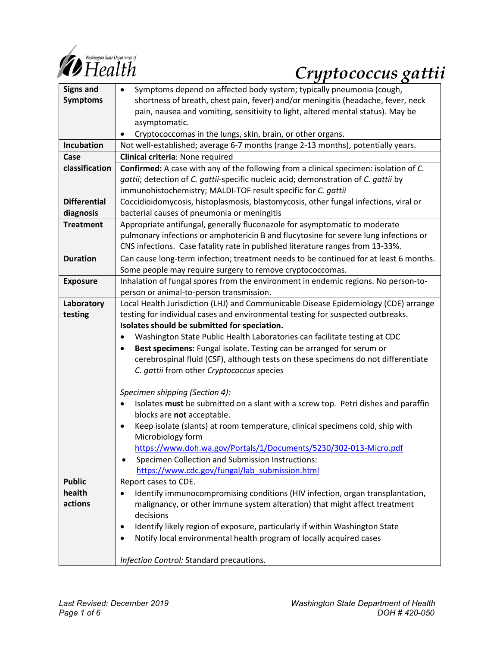

# *Cryptococcus gattii*

| <b>Signs and</b>    | Symptoms depend on affected body system; typically pneumonia (cough,<br>$\bullet$              |
|---------------------|------------------------------------------------------------------------------------------------|
| <b>Symptoms</b>     | shortness of breath, chest pain, fever) and/or meningitis (headache, fever, neck               |
|                     | pain, nausea and vomiting, sensitivity to light, altered mental status). May be                |
|                     | asymptomatic.                                                                                  |
|                     | Cryptococcomas in the lungs, skin, brain, or other organs.                                     |
| Incubation          | Not well-established; average 6-7 months (range 2-13 months), potentially years.               |
| Case                | Clinical criteria: None required                                                               |
| classification      | Confirmed: A case with any of the following from a clinical specimen: isolation of C.          |
|                     | gattii; detection of C. gattii-specific nucleic acid; demonstration of C. gattii by            |
|                     | immunohistochemistry; MALDI-TOF result specific for C. gattii                                  |
| <b>Differential</b> | Coccidioidomycosis, histoplasmosis, blastomycosis, other fungal infections, viral or           |
| diagnosis           | bacterial causes of pneumonia or meningitis                                                    |
| <b>Treatment</b>    | Appropriate antifungal, generally fluconazole for asymptomatic to moderate                     |
|                     | pulmonary infections or amphotericin B and flucytosine for severe lung infections or           |
|                     | CNS infections. Case fatality rate in published literature ranges from 13-33%.                 |
| <b>Duration</b>     | Can cause long-term infection; treatment needs to be continued for at least 6 months.          |
|                     | Some people may require surgery to remove cryptococcomas.                                      |
| <b>Exposure</b>     | Inhalation of fungal spores from the environment in endemic regions. No person-to-             |
|                     | person or animal-to-person transmission.                                                       |
| Laboratory          | Local Health Jurisdiction (LHJ) and Communicable Disease Epidemiology (CDE) arrange            |
| testing             | testing for individual cases and environmental testing for suspected outbreaks.                |
|                     | Isolates should be submitted for speciation.                                                   |
|                     | Washington State Public Health Laboratories can facilitate testing at CDC<br>$\bullet$         |
|                     | Best specimens: Fungal isolate. Testing can be arranged for serum or<br>$\bullet$              |
|                     | cerebrospinal fluid (CSF), although tests on these specimens do not differentiate              |
|                     | C. gattii from other Cryptococcus species                                                      |
|                     | Specimen shipping (Section 4):                                                                 |
|                     | Isolates must be submitted on a slant with a screw top. Petri dishes and paraffin<br>$\bullet$ |
|                     | blocks are not acceptable.                                                                     |
|                     | Keep isolate (slants) at room temperature, clinical specimens cold, ship with<br>$\bullet$     |
|                     | Microbiology form                                                                              |
|                     | https://www.doh.wa.gov/Portals/1/Documents/5230/302-013-Micro.pdf                              |
|                     | Specimen Collection and Submission Instructions:                                               |
|                     | https://www.cdc.gov/fungal/lab submission.html                                                 |
| <b>Public</b>       | Report cases to CDE.                                                                           |
| health              | Identify immunocompromising conditions (HIV infection, organ transplantation,                  |
| actions             | malignancy, or other immune system alteration) that might affect treatment                     |
|                     | decisions                                                                                      |
|                     | Identify likely region of exposure, particularly if within Washington State<br>٠               |
|                     | Notify local environmental health program of locally acquired cases<br>$\bullet$               |
|                     | Infection Control: Standard precautions.                                                       |
|                     |                                                                                                |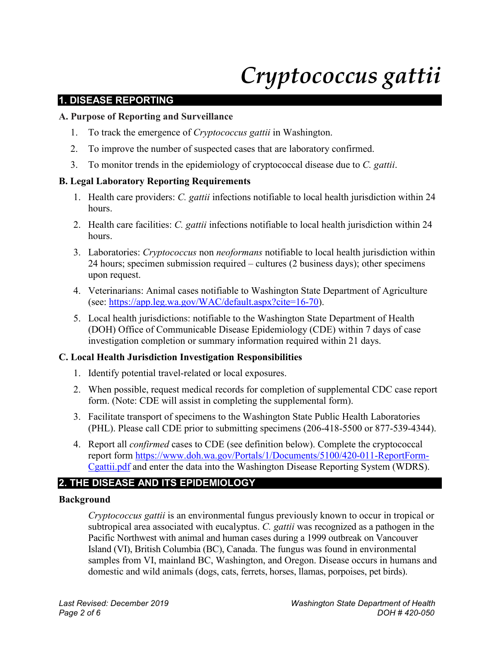# *Cryptococcus gattii*

# **1. DISEASE REPORTING**

#### **A. Purpose of Reporting and Surveillance**

- 1. To track the emergence of *Cryptococcus gattii* in Washington.
- 2. To improve the number of suspected cases that are laboratory confirmed.
- 3. To monitor trends in the epidemiology of cryptococcal disease due to *C. gattii*.

#### **B. Legal Laboratory Reporting Requirements**

- 1. Health care providers: *C. gattii* infections notifiable to local health jurisdiction within 24 hours.
- 2. Health care facilities: *C. gattii* infections notifiable to local health jurisdiction within 24 hours.
- 3. Laboratories: *Cryptococcus* non *neoformans* notifiable to local health jurisdiction within 24 hours; specimen submission required – cultures (2 business days); other specimens upon request.
- 4. Veterinarians: Animal cases notifiable to Washington State Department of Agriculture (see: [https://app.leg.wa.gov/WAC/default.aspx?cite=16-70\)](https://app.leg.wa.gov/WAC/default.aspx?cite=16-70).
- 5. Local health jurisdictions: notifiable to the Washington State Department of Health (DOH) Office of Communicable Disease Epidemiology (CDE) within 7 days of case investigation completion or summary information required within 21 days.

#### **C. Local Health Jurisdiction Investigation Responsibilities**

- 1. Identify potential travel-related or local exposures.
- 2. When possible, request medical records for completion of supplemental CDC case report form. (Note: CDE will assist in completing the supplemental form).
- 3. Facilitate transport of specimens to the Washington State Public Health Laboratories (PHL). Please call CDE prior to submitting specimens (206-418-5500 or 877-539-4344).
- 4. Report all *confirmed* cases to CDE (see definition below). Complete the cryptococcal report form [https://www.doh.wa.gov/Portals/1/Documents/5100/420-011-ReportForm-](https://www.doh.wa.gov/Portals/1/Documents/5100/420-011-ReportForm-Cgattii.pdf)[Cgattii.pdf](https://www.doh.wa.gov/Portals/1/Documents/5100/420-011-ReportForm-Cgattii.pdf) and enter the data into the Washington Disease Reporting System (WDRS).

# **2. THE DISEASE AND ITS EPIDEMIOLOGY**

#### **Background**

*Cryptococcus gattii* is an environmental fungus previously known to occur in tropical or subtropical area associated with eucalyptus. *C. gattii* was recognized as a pathogen in the Pacific Northwest with animal and human cases during a 1999 outbreak on Vancouver Island (VI), British Columbia (BC), Canada. The fungus was found in environmental samples from VI, mainland BC, Washington, and Oregon. Disease occurs in humans and domestic and wild animals (dogs, cats, ferrets, horses, llamas, porpoises, pet birds).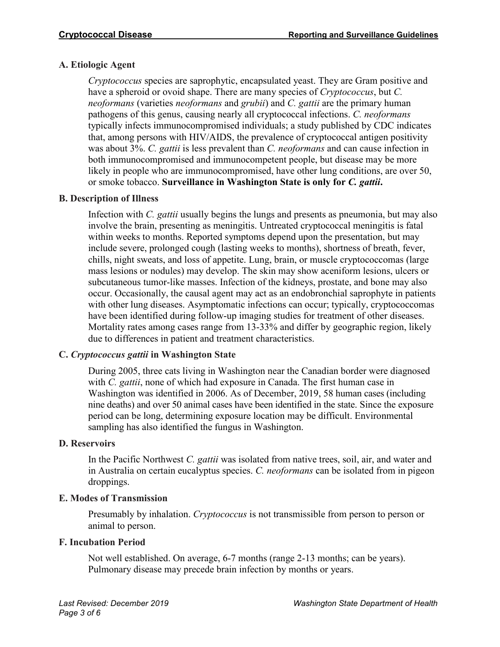# **A. Etiologic Agent**

*Cryptococcus* species are saprophytic, encapsulated yeast. They are Gram positive and have a spheroid or ovoid shape. There are many species of *Cryptococcus*, but *C. neoformans* (varieties *neoformans* and *grubii*) and *C. gattii* are the primary human pathogens of this genus, causing nearly all cryptococcal infections. *C. neoformans* typically infects immunocompromised individuals; a study published by CDC indicates that, among persons with HIV/AIDS, the prevalence of cryptococcal antigen positivity was about 3%. *C. gattii* is less prevalent than *C. neoformans* and can cause infection in both immunocompromised and immunocompetent people, but disease may be more likely in people who are immunocompromised, have other lung conditions, are over 50, or smoke tobacco. **Surveillance in Washington State is only for** *C. gattii***.**

# **B. Description of Illness**

Infection with *C. gattii* usually begins the lungs and presents as pneumonia, but may also involve the brain, presenting as meningitis. Untreated cryptococcal meningitis is fatal within weeks to months. Reported symptoms depend upon the presentation, but may include severe, prolonged cough (lasting weeks to months), shortness of breath, fever, chills, night sweats, and loss of appetite. Lung, brain, or muscle cryptococcomas (large mass lesions or nodules) may develop. The skin may show aceniform lesions, ulcers or subcutaneous tumor-like masses. Infection of the kidneys, prostate, and bone may also occur. Occasionally, the causal agent may act as an endobronchial saprophyte in patients with other lung diseases. Asymptomatic infections can occur; typically, cryptococcomas have been identified during follow-up imaging studies for treatment of other diseases. Mortality rates among cases range from 13-33% and differ by geographic region, likely due to differences in patient and treatment characteristics.

# **C.** *Cryptococcus gattii* **in Washington State**

During 2005, three cats living in Washington near the Canadian border were diagnosed with *C. gattii*, none of which had exposure in Canada. The first human case in Washington was identified in 2006. As of December, 2019, 58 human cases (including nine deaths) and over 50 animal cases have been identified in the state. Since the exposure period can be long, determining exposure location may be difficult. Environmental sampling has also identified the fungus in Washington.

# **D. Reservoirs**

In the Pacific Northwest *C. gattii* was isolated from native trees, soil, air, and water and in Australia on certain eucalyptus species. *C. neoformans* can be isolated from in pigeon droppings.

# **E. Modes of Transmission**

Presumably by inhalation. *Cryptococcus* is not transmissible from person to person or animal to person.

# **F. Incubation Period**

Not well established. On average, 6-7 months (range 2-13 months; can be years). Pulmonary disease may precede brain infection by months or years.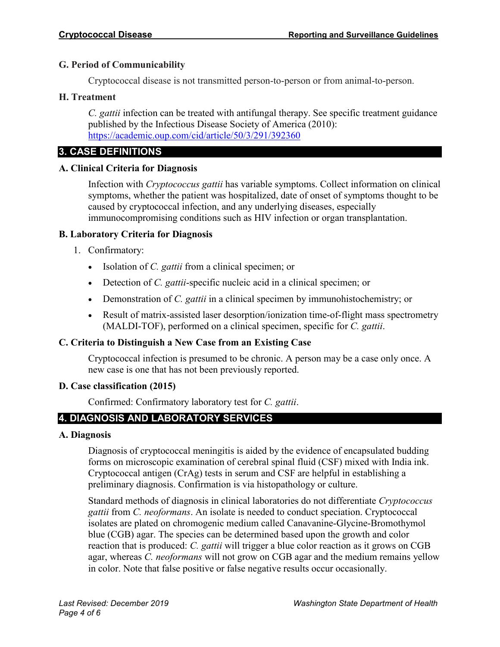#### **G. Period of Communicability**

Cryptococcal disease is not transmitted person-to-person or from animal-to-person.

#### **H. Treatment**

*C. gattii* infection can be treated with antifungal therapy. See specific treatment guidance published by the Infectious Disease Society of America (2010): <https://academic.oup.com/cid/article/50/3/291/392360>

# **3. CASE DEFINITIONS**

#### **A. Clinical Criteria for Diagnosis**

Infection with *Cryptococcus gattii* has variable symptoms. Collect information on clinical symptoms, whether the patient was hospitalized, date of onset of symptoms thought to be caused by cryptococcal infection, and any underlying diseases, especially immunocompromising conditions such as HIV infection or organ transplantation.

#### **B. Laboratory Criteria for Diagnosis**

- 1. Confirmatory:
	- Isolation of *C. gattii* from a clinical specimen; or
	- Detection of *C. gattii*-specific nucleic acid in a clinical specimen; or
	- Demonstration of *C. gattii* in a clinical specimen by immunohistochemistry; or
	- Result of matrix-assisted laser desorption/ionization time-of-flight mass spectrometry (MALDI-TOF), performed on a clinical specimen, specific for *C. gattii*.

# **C. Criteria to Distinguish a New Case from an Existing Case**

Cryptococcal infection is presumed to be chronic. A person may be a case only once. A new case is one that has not been previously reported.

#### **D. Case classification (2015)**

Confirmed: Confirmatory laboratory test for *C. gattii*.

# **4. DIAGNOSIS AND LABORATORY SERVICES**

#### **A. Diagnosis**

Diagnosis of cryptococcal meningitis is aided by the evidence of encapsulated budding forms on microscopic examination of cerebral spinal fluid (CSF) mixed with India ink. Cryptococcal antigen (CrAg) tests in serum and CSF are helpful in establishing a preliminary diagnosis. Confirmation is via histopathology or culture.

Standard methods of diagnosis in clinical laboratories do not differentiate *Cryptococcus gattii* from *C. neoformans*. An isolate is needed to conduct speciation. Cryptococcal isolates are plated on chromogenic medium called Canavanine-Glycine-Bromothymol blue (CGB) agar. The species can be determined based upon the growth and color reaction that is produced: *C. gattii* will trigger a blue color reaction as it grows on CGB agar, whereas *C. neoformans* will not grow on CGB agar and the medium remains yellow in color. Note that false positive or false negative results occur occasionally.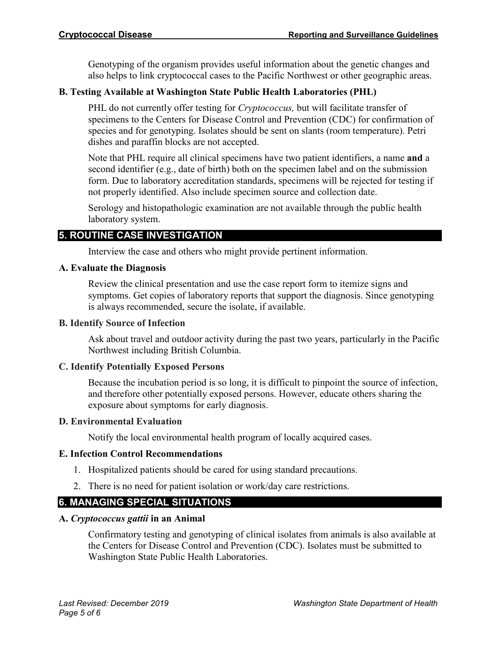Genotyping of the organism provides useful information about the genetic changes and also helps to link cryptococcal cases to the Pacific Northwest or other geographic areas.

# **B. Testing Available at Washington State Public Health Laboratories (PHL)**

PHL do not currently offer testing for *Cryptococcus,* but will facilitate transfer of specimens to the Centers for Disease Control and Prevention (CDC) for confirmation of species and for genotyping. Isolates should be sent on slants (room temperature). Petri dishes and paraffin blocks are not accepted.

Note that PHL require all clinical specimens have two patient identifiers, a name **and** a second identifier (e.g., date of birth) both on the specimen label and on the submission form. Due to laboratory accreditation standards, specimens will be rejected for testing if not properly identified. Also include specimen source and collection date.

Serology and histopathologic examination are not available through the public health laboratory system.

# **5. ROUTINE CASE INVESTIGATION**

Interview the case and others who might provide pertinent information.

#### **A. Evaluate the Diagnosis**

Review the clinical presentation and use the case report form to itemize signs and symptoms. Get copies of laboratory reports that support the diagnosis. Since genotyping is always recommended, secure the isolate, if available.

#### **B. Identify Source of Infection**

Ask about travel and outdoor activity during the past two years, particularly in the Pacific Northwest including British Columbia.

# **C. Identify Potentially Exposed Persons**

Because the incubation period is so long, it is difficult to pinpoint the source of infection, and therefore other potentially exposed persons. However, educate others sharing the exposure about symptoms for early diagnosis.

# **D. Environmental Evaluation**

Notify the local environmental health program of locally acquired cases.

# **E. Infection Control Recommendations**

- 1. Hospitalized patients should be cared for using standard precautions.
- 2. There is no need for patient isolation or work/day care restrictions.

# **6. MANAGING SPECIAL SITUATIONS**

# **A.** *Cryptococcus gattii* **in an Animal**

Confirmatory testing and genotyping of clinical isolates from animals is also available at the Centers for Disease Control and Prevention (CDC). Isolates must be submitted to Washington State Public Health Laboratories.